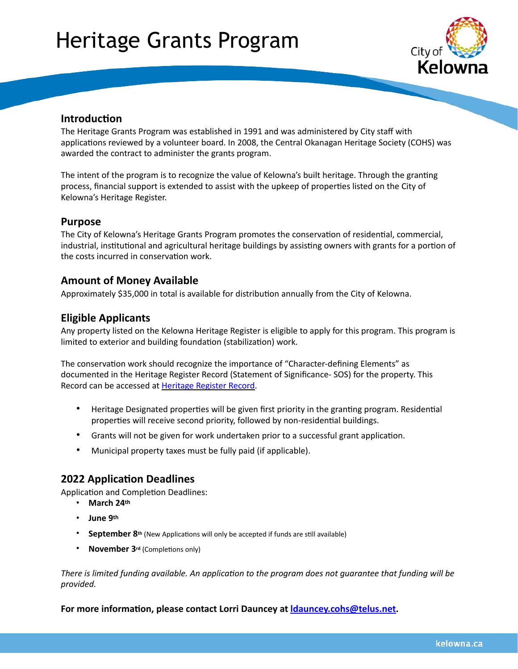# Heritage Grants Program



## **Introduction**

The Heritage Grants Program was established in 1991 and was administered by City staff with applications reviewed by a volunteer board. In 2008, the Central Okanagan Heritage Society (COHS) was awarded the contract to administer the grants program.

The intent of the program is to recognize the value of Kelowna's built heritage. Through the granting process, financial support is extended to assist with the upkeep of properties listed on the City of Kelowna's Heritage Register.

#### **Purpose**

The City of Kelowna's Heritage Grants Program promotes the conservation of residential, commercial, industrial, institutional and agricultural heritage buildings by assisting owners with grants for a portion of the costs incurred in conservation work.

### **Amount of Money Available**

Approximately \$35,000 in total is available for distribution annually from the City of Kelowna.

### **Eligible Applicants**

Any property listed on the Kelowna Heritage Register is eligible to apply for this program. This program is limited to exterior and building foundation (stabilization) work.

The conservation work should recognize the importance of "Character-defining Elements" as documented in the Heritage Register Record (Statement of Significance- SOS) for the property. This Record can be accessed at [Heritage Register Record](http://www.kelowna.ca/our-community/arts-culture-heritage/heritage/heritage-register).

- Heritage Designated properties will be given first priority in the granting program. Residential properties will receive second priority, followed by non-residential buildings.
- Grants will not be given for work undertaken prior to a successful grant application.
- Municipal property taxes must be fully paid (if applicable).

# **2022 Application Deadlines**

Application and Completion Deadlines:

- **March 24th**
- **June 9th**
- **September 8th** (New Applications will only be accepted if funds are still available)
- **November 3rd** (Completions only)

*There is limited funding available. An application to the program does not guarantee that funding will be provided.*

**For more information, please contact Lorri Dauncey at [ldauncey.cohs@telus.net](mailto:ldauncey.cohs@telus.net).**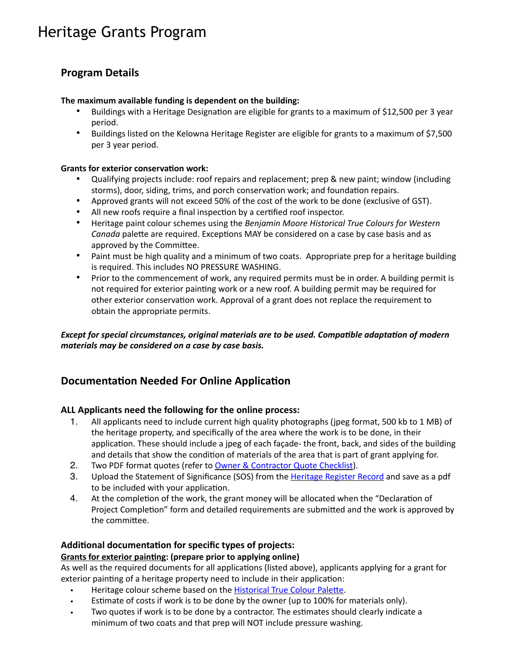# Heritage Grants Program

# **Program Details**

#### **The maximum available funding is dependent on the building:**

- Buildings with a Heritage Designation are eligible for grants to a maximum of \$12,500 per 3 year period.
- Buildings listed on the Kelowna Heritage Register are eligible for grants to a maximum of \$7,500 per 3 year period.

#### **Grants for exterior conservation work:**

- Qualifying projects include: roof repairs and replacement; prep & new paint; window (including storms), door, siding, trims, and porch conservation work; and foundation repairs.
- Approved grants will not exceed 50% of the cost of the work to be done (exclusive of GST).
- All new roofs require a final inspection by a certified roof inspector.
- Heritage paint colour schemes using the *Benjamin Moore Historical True Colours for Western Canada* palette are required. Exceptions MAY be considered on a case by case basis and as approved by the Committee.
- Paint must be high quality and a minimum of two coats. Appropriate prep for a heritage building is required. This includes NO PRESSURE WASHING.
- Prior to the commencement of work, any required permits must be in order. A building permit is not required for exterior painting work or a new roof. A building permit may be required for other exterior conservation work. Approval of a grant does not replace the requirement to obtain the appropriate permits.

*Except for special circumstances, original materials are to be used. Compatible adaptation of modern materials may be considered on a case by case basis.*

# **Documentation Needed For Online Application**

#### **ALL Applicants need the following for the online process:**

- 1. All applicants need to include current high quality photographs (jpeg format, 500 kb to 1 MB) of the heritage property, and specifically of the area where the work is to be done, in their application. These should include a jpeg of each façade- the front, back, and sides of the building and details that show the condition of materials of the area that is part of grant applying for.
- 2. Two PDF format quotes (refer to [Owner & Contractor Quote Checklist](https://cityofkelownagrants.smapply.ca/protected/resource/eyJoZnJlIjogMTIyOTA5OTMwLCAidnEiOiAxNzY0ODh9/)).
- 3. Upload the Statement of Significance (SOS) from the [Heritage Register Record](http://www.kelowna.ca/our-community/arts-culture-heritage/heritage/heritage-register) and save as a pdf to be included with your application.
- 4. At the completion of the work, the grant money will be allocated when the "Declaration of Project Completion" form and detailed requirements are submitted and the work is approved by the committee.

#### **Additional documentation for specific types of projects:**

#### **Grants for exterior painting: (prepare prior to applying online)**

As well as the required documents for all applications (listed above), applicants applying for a grant for exterior painting of a heritage property need to include in their application:

- Heritage colour scheme based on the **[Historical True Colour Palette](https://cityofkelownagrants.smapply.ca/protected/resource/eyJoZnJlIjogMTIyOTA5OTMwLCAidnEiOiAxNzY0ODd9/)**.
- Estimate of costs if work is to be done by the owner (up to 100% for materials only).
- Two quotes if work is to be done by a contractor. The estimates should clearly indicate a minimum of two coats and that prep will NOT include pressure washing.